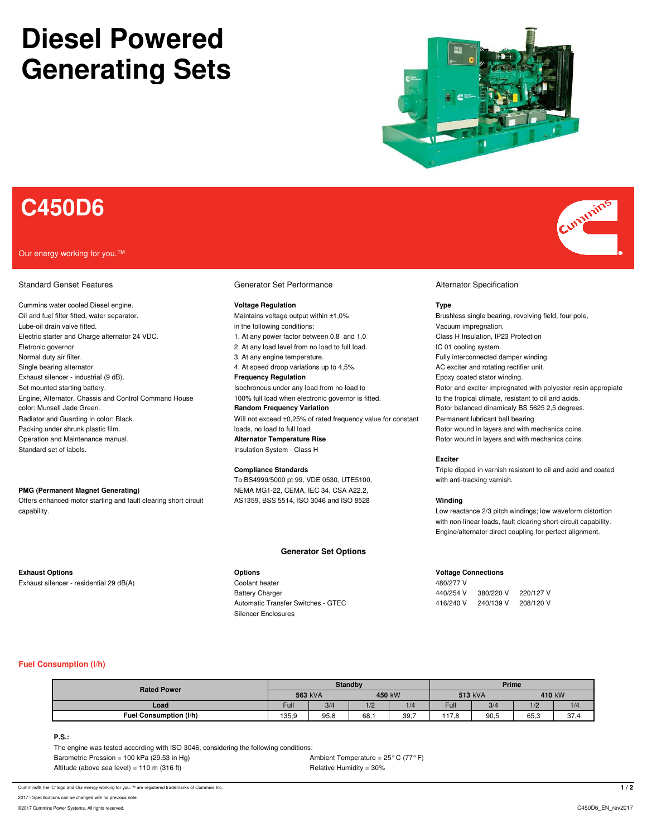# **Diesel Powered Generating Sets**



## **C450D6**

#### Our energy working for you.™

### Standard Genset Features **Generator Set Performance Generator Set Performance** Alternator Specification

Cummins water cooled Diesel engine. **Voltage Regulation Type** Oil and fuel filter fitted, water separator. The state of the maintains voltage output within ±1,0% Brushless single bearing, revolving field, four pole, Lube-oil drain valve fitted. in the following conditions: vacuum impregnation. In the following conditions: Vacuum impregnation. Electric starter and Charge alternator 24 VDC. 1. At any power factor between 0.8 and 1.0 Class H Insulation, IP23 Protection Eletronic governor **Electronic governor** 2. At any load level from no load to full load. IC 01 cooling system. Normal duty air filter. The same state of the state of the state of the state of the SA any engine temperature. Single bearing alternator. **4. At speed droop variations up to 4,5%** AC exciter and rotating rectifier unit. Exhaust silencer - industrial (9 dB). **Frequency Regulation Frequency Regulation** Epoxy coated stator winding. Engine, Alternator, Chassis and Control Command House 100% full load when electronic governor is fitted. The tropical climate, resistant to oil and acids. color: Munsell Jade Green. **Random Frequency Variation** Research Repression Research Rotor balanced dinamicaly BS 5625 2,5 degrees. Radiator and Guarding in color: Black. Will not exceed ±0,25% of rated frequency value for constant Permanent lubricant ball bearing Packing under shrunk plastic film. loads is a load to full load. And the state of the state of the state of the loads, no load to full load. And the state of the Rotor wound in layers and with mechanics coins. Operation and Maintenance manual. **Alternator Temperature Rise** Rise Rotor wound in layers and with mechanics coins. Standard set of labels. Insulation System - Class H

Offers enhanced motor starting and fault clearing short circuit AS1359, BSS 5514, ISO 3046 and ISO 8528 **Winding** capability. Low reactance 2/3 pitch windings; low waveform distortion

To BS4999/5000 pt 99, VDE 0530, UTE5100, with anti-tracking varnish. **PMG (Permanent Magnet Generating) NEMA MG1-22, CEMA, IEC 34, CSA A22.2,** 

### **Generator Set Options**

Exhaust silencer - residential 29 dB(A) Coolant heater 480/277 V Silencer Enclosures

Set mounted starting battery. The Set mounted starting battery is a set of the sochronous under any load from no load to Rotor and exciter impregnated with polyester resin appropiate

#### **Exciter**

**Compliance Standards** Triple dipped in varnish resistent to oil and acid and coated

with non-linear loads, fault clearing short-circuit capability. Engine/alternator direct coupling for perfect alignment.

### **Exhaust Options Options Voltage Connections**

Battery Charger 440/254 V 380/220 V 220/127 V Automatic Transfer Switches - GTEC 416/240 V 240/139 V 208/120 V

### **Fuel Consumption (l/h)**

| <b>Rated Power</b>     | <b>Standby</b> |      |        |      | Prime   |      |        |                  |
|------------------------|----------------|------|--------|------|---------|------|--------|------------------|
|                        | 563 kVA        |      | 450 kW |      | 513 kVA |      | 410 kW |                  |
| Load                   | Full           | 3/4  | 1/2    | 1/4  | Full    | 3/4  | 1/2    | 1/4              |
| Fuel Consumption (I/h) | 135,9          | 95,8 | 68,    | 39,7 | 117.8   | 90,5 | 65,3   | $\sim$<br>-… ا ت |

### **P.S.:**

The engine was tested according with ISO-3046, considering the following conditions: Barometric Pression = 100 kPa (29.53 in Hg)  $\blacksquare$  Ambient Temperature = 25° C (77° F) Altitude (above sea level) = 110 m (316 ft) Relative Humidity = 30%

Cummins®, the 'C' logo and Our energy working for you.<sup>7M</sup> are registered trademarks of Cummins Inc. **1 / 2** 

2017 - Specifications can be changed with no previ

©2017 Cummins Power Systems. All rights reserved. C450D6\_EN\_rev2017